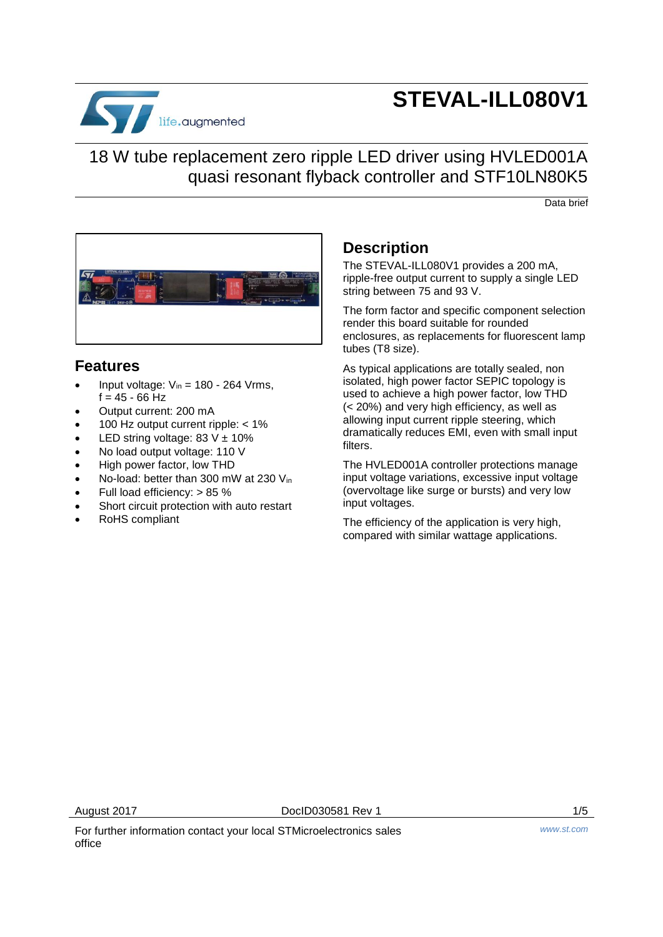

# **STEVAL-ILL080V1**

18 W tube replacement zero ripple LED driver using HVLED001A quasi resonant flyback controller and STF10LN80K5

Data brief



### **Features**

- Input voltage:  $V_{in}$  = 180 264 Vrms,  $f = 45 - 66$  Hz
- Output current: 200 mA
- 100 Hz output current ripple: < 1%
- LED string voltage:  $83 \text{ V} \pm 10\%$
- No load output voltage: 110 V
- High power factor, low THD
- No-load: better than 300 mW at 230 Vin
- Full load efficiency: > 85 %
- Short circuit protection with auto restart
- RoHS compliant

### **Description**

The STEVAL-ILL080V1 provides a 200 mA, ripple-free output current to supply a single LED string between 75 and 93 V.

The form factor and specific component selection render this board suitable for rounded enclosures, as replacements for fluorescent lamp tubes (T8 size).

As typical applications are totally sealed, non isolated, high power factor SEPIC topology is used to achieve a high power factor, low THD (< 20%) and very high efficiency, as well as allowing input current ripple steering, which dramatically reduces EMI, even with small input filters.

The HVLED001A controller protections manage input voltage variations, excessive input voltage (overvoltage like surge or bursts) and very low input voltages.

The efficiency of the application is very high, compared with similar wattage applications.

August 2017 **DoclD030581 Rev 1** 2017 1/5

For further information contact your local STMicroelectronics sales office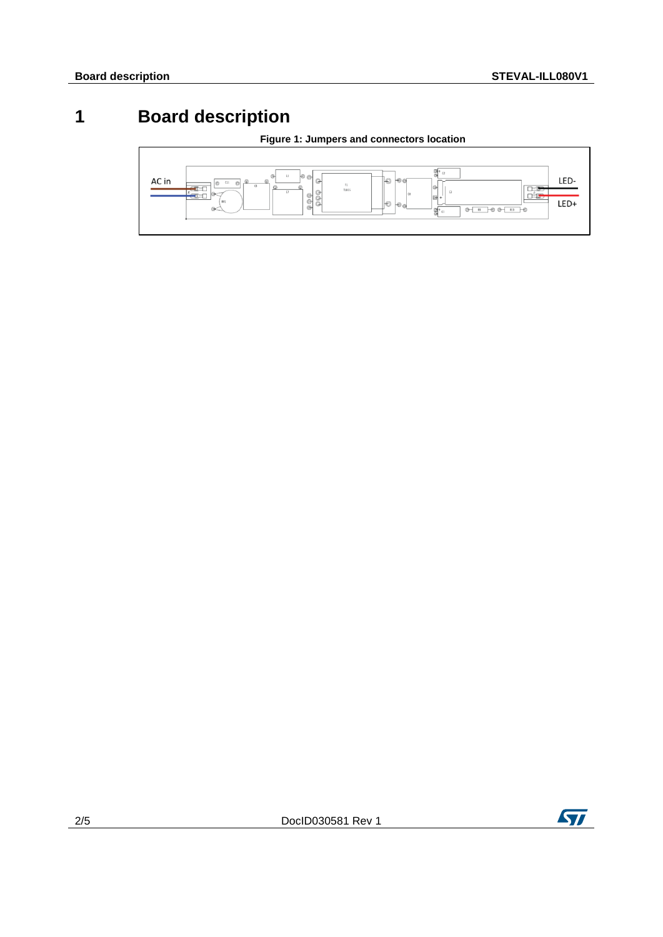## **1 Board description**





 $\sqrt{1}$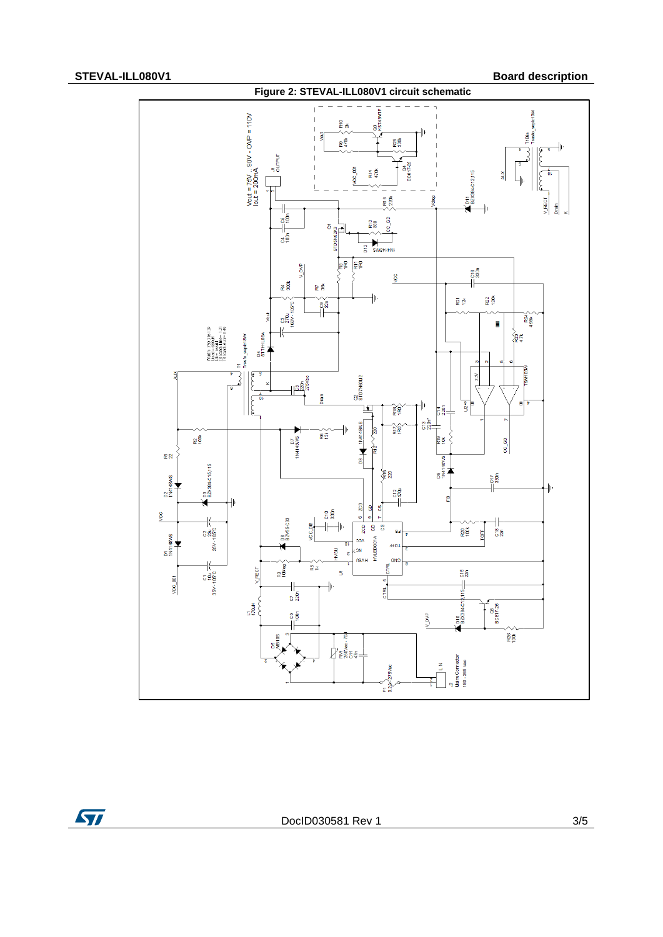

ST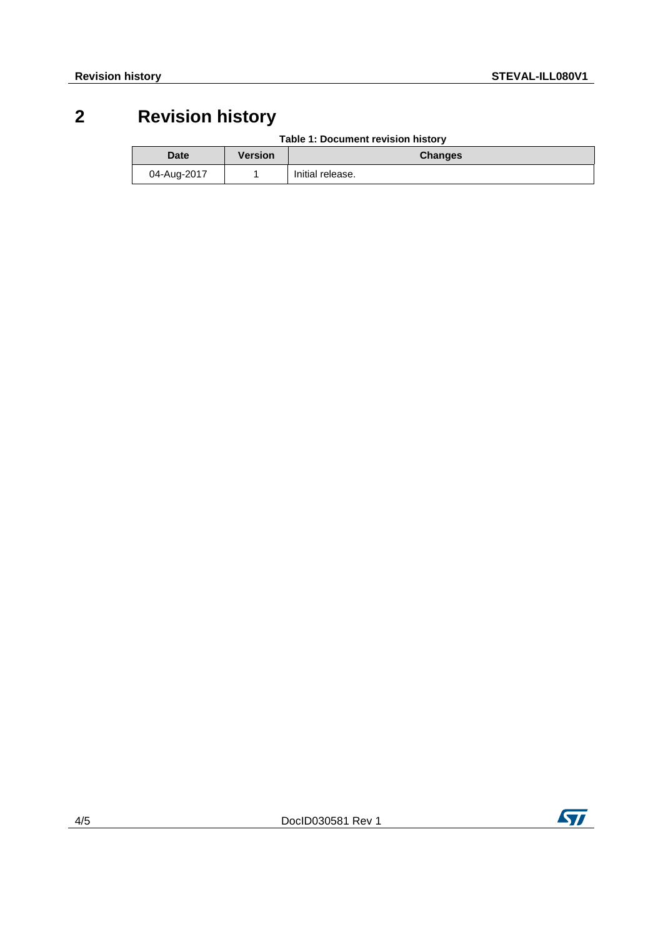## **2 Revision history**

| Table 1: Document revision history |  |
|------------------------------------|--|
|------------------------------------|--|

| <b>Date</b> | Version | <b>Changes</b>   |
|-------------|---------|------------------|
| 04-Aug-2017 |         | Initial release. |